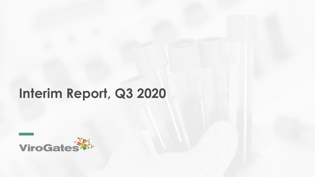# **Interim Report, Q3 2020**

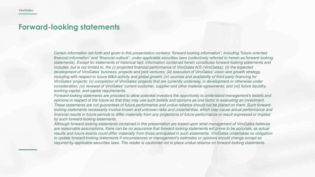#### **Forward-looking statements**

*Certain information set forth and given in this presentation contains "forward*-*looking information", including "future*-oriented *financial information" and "financial outlook", under applicable securities laws (collectively referred to herein as forward*-looking statements). Except for statements of historical fact, information contained herein constitutes forward-looking statements and includes, but is not limited to, the (i) projected financial performance of ViroGates A/S (ViroGates); (ii) the expected *development of ViroGates' business, projects and joint ventures; (iii) execution of ViroGates' vision and growth strategy,*  including with respect to future M&A activity and global growth; (iv) sources and availability of third-party financing for *ViroGates' projects; (v) completion of ViroGates' projects that are currently underway, in development or otherwise under consideration; (vi) renewal of ViroGates' current customer, supplier and other material agreements; and (vii) future liquidit*y, working capital, and capital requirements.

Forward-*looking statements are provided to allow potential investors the opportunity to understand management's beliefs and*  opinions in respect of the future so that they may use such beliefs and opinions as one factor in evaluating an investment. These statements are not guarantees of future performance and undue reliance should not be placed on them. Such forwardlooking statements necessarily involve known and unknown risks and uncertainties, which may cause actual performance and financial results in future periods to differ materially from any projections of future performance or result expressed or implied by such forward-looking statements.

Although forward-looking statements contained in this presentation are based upon what management of ViroGates believes are reasonable assumptions, there can be no assurance that forward-looking statements will prove to be accurate, as actual results and future events could differ materially from those anticipated in such statements. ViroGates undertakes no obligation to update forward-*looking statements if circumstances or management's estimates or opinions should change except as*  required by applicable securities laws. The reader is cautioned not to place undue reliance on forward-looking statements.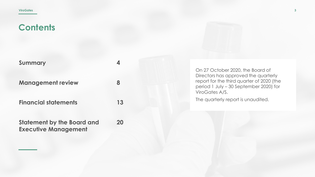| Summary                     |    |                  |
|-----------------------------|----|------------------|
|                             |    | Or<br>Dir        |
| <b>Management review</b>    | 8  | rep<br>pe<br>Vir |
| <b>Financial statements</b> | 13 | The              |
|                             |    |                  |

**20**

**Statement by the Board and Executive Management**

27 October 2020, the Board of rectors has approved the quarterly port for the third quarter of 2020 (the period 1 July – 30 September 2020) for oGates A/S.

e quarterly report is unaudited.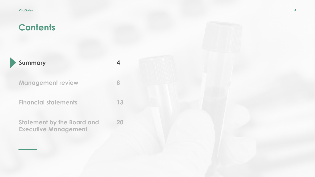| <b>Summary</b>                                                   |    |
|------------------------------------------------------------------|----|
| <b>Management review</b>                                         |    |
| <b>Financial statements</b>                                      | 13 |
| <b>Statement by the Board and</b><br><b>Executive Management</b> | 20 |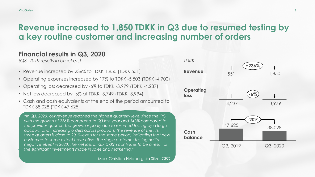## **Revenue increased to 1,850 TDKK in Q3 due to resumed testing by a key routine customer and increasing number of orders**

#### **Financial results in Q3, 2020**

*(Q3, 2019 results in brackets)*

- Revenue increased by 236% to TDKK 1,850 (TDKK 551)
- Operating expenses increased by 17% to TDKK -5,503 (TDKK -4,700)
- Operating loss decreased by -6% to TDKK -3,979 (TDKK -4,237)
- Net loss decreased by -6% at TDKK -3,749 (TDKK -3,994)
- Cash and cash equivalents at the end of the period amounted to TDKK 38,028 (TDKK 47,625)

*"In Q3, 2020, our revenue reached the highest quarterly level since the IPO with the growth of 236% compared to Q3 last year and 143% compared to the previous quarter. The growth is partly due to resumed testing by a large account and increasing orders across products. The revenue of the first three quarters is close to 2019-levels for the same period, indicating that new customers to some extent have offset the single customer testing halt's negative effect in 2020. The net loss of -3.7 DKKm continues to be a result of the significant investments made in sales and marketing."*

Mark Christian Hvidberg da Silva, CFO

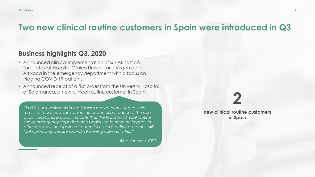## **Two new clinical routine customers in Spain were introduced in Q3**

#### **Business highlights Q3, 2020**

- Announced clinical implementation of suPARnostic® TurbiLatex at Hospital Clínico Universitario Virgen de la Arrixaca in the emergency department with a focus on triaging COVID-19 patients
- Announced receipt of a first order from the University Hospital of Salamanca, a new clinical routine customer in Spain **2**

*"In Q3, our investments in the Spanish market continued to yield results with two new clinical routine customers introduced. The sales of our TurbiLatex product indicate that the focus on clinical routine use at emergency departments is beginning to have an impact. In other markets, the pipeline of potential clinical routine customers still looks promising despite COVID-19 slowing sales activities."*

Jakob Knudsen, CEO

**new clinical routine customers in Spain**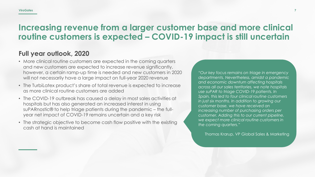#### **ViroGates**

## **Increasing revenue from a larger customer base and more clinical routine customers is expected – COVID-19 impact is still uncertain**

#### **Full year outlook, 2020**

- More clinical routine customers are expected in the coming quarters and new customers are expected to increase revenue significantly, however, a certain ramp-up time is needed and new customers in 2020 will not necessarily have a large impact on full-year 2020 revenue
- The TurbiLatex product's share of total revenue is expected to increase as more clinical routine customers are added
- The COVID-19 outbreak has caused a delay in most sales activities at hospitals but has also generated an increased interest in using suPARnostic® to help triage patients during the pandemic – the fullyear net impact of COVID-19 remains uncertain and a key risk
- The strategic objective to become cash flow positive with the existing cash at hand is maintained

*"Our key focus remains on triage in emergency departments. Nevertheless, amidst a pandemic and economic downturn affecting hospitals across all our sales territories, we note hospitals use suPAR to triage COVID-19 patients. In Spain, this led to four clinical routine customers in just six months. In addition to growing our customer base, we have received an increasing number of purchasing orders per customer. Adding this to our current pipeline, we expect more clinical routine customers in the coming quarters."*

Thomas Krarup, VP Global Sales & Marketing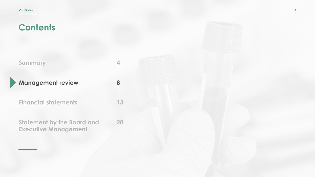| <b>Summary</b>                                                   |    |
|------------------------------------------------------------------|----|
| <b>Management review</b>                                         |    |
| <b>Financial statements</b>                                      | 13 |
| <b>Statement by the Board and</b><br><b>Executive Management</b> | 20 |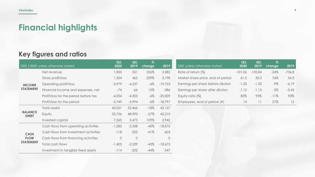## **Financial highlights**

#### **Key figures and ratios**

|                                | DKK ('000) unless otherwise stated    | Q3<br>2020 | Q3<br>2019 | $\%$<br>change           | 2019      | DKK unless otherwise stated        | Q3<br>2020 | Q3<br>2019 | $\sqrt{2}$<br>change | 2019     |
|--------------------------------|---------------------------------------|------------|------------|--------------------------|-----------|------------------------------------|------------|------------|----------------------|----------|
|                                | Net revenue                           | 1,850      | 551        | 236%                     | 3,582     | Rate of return $(\%)$              | $-101.06$  | $-132.84$  | $-24%$               | $-736,8$ |
|                                | Gross profit/loss                     | 1,524      | 463        | 229%                     | 3,198     | Market share price, end of period  | 61.5       | 35.0       | 76%                  | 34.3     |
| <b>INCOME</b>                  | Operating profit/loss                 | $-3,979$   | $-4,237$   | -6%                      | $-19,723$ | Earnings per share before dilution | $-1.20$    | $-1.32$    | $-9\%$               | $-6.19$  |
| <b>STATEMENT</b>               | Financial income and expenses, net    | $-74$      | -66        | 12%                      | $-286$    | Earnings per share after dilution  | $-1.12$    | $-1.15$    | $-3%$                | $-5.43$  |
|                                | Profit/loss for the period before tax | $-4,054$   | $-4,303$   | -6%                      | $-20,009$ | Equity ratio (%)                   | 83%        | 93%        | $-11\%$              | 93%      |
|                                | Profit/loss for the period            | $-3,749$   | $-3,994$   | -6%                      | $-18,797$ | Employees, end of period (#)       | 14         | 11         | 27%                  | 12       |
|                                | Total assets                          | 43,021     | 52,466     | $-18%$                   | 45,157    |                                    |            |            |                      |          |
| <b>BALANCE</b><br><b>SHEET</b> | Equity                                | 35,756     | 48,993     | $-27%$                   | 42,215    |                                    |            |            |                      |          |
|                                | Invested capital                      | 7,265      | 3,473      | 109%                     | 2,942     |                                    |            |            |                      |          |
|                                | Cash flows from operating activities  | $-1,285$   | $-2,338$   | $-45%$                   | $-18,072$ |                                    |            |            |                      |          |
| <b>CASH</b>                    | Cash flows from investment activities | $-118$     | $-202$     | $-41%$                   | $-603$    |                                    |            |            |                      |          |
| <b>FLOW</b>                    | Cash flows from financing activities  | $\circ$    | $\circ$    | $\overline{\phantom{a}}$ | $\circ$   |                                    |            |            |                      |          |
| <b>STATEMENT</b>               | Total cash flows                      | $-1,403$   | $-2,539$   | $-45%$                   | $-18,675$ |                                    |            |            |                      |          |
|                                | Investment in tangible fixed assets   | $-114$     | $-202$     | $-44%$                   | $-547$    |                                    |            |            |                      |          |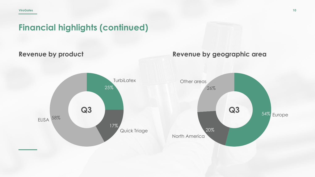## **Financial highlights (continued)**

#### Revenue by product **Revenue by geographic area**

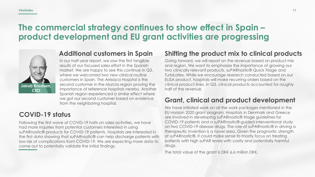## **The commercial strategy continues to show effect in Spain – product development and EU grant activities are progressing**



#### **Additional customers in Spain**

In our half-year report, we saw the first tangible results of our focused sales effort in the Spanish market. We are happy to see this continue in Q3, where we welcomed two new clinical routine customers in Spain. The Arrixaca Hospital is the second customer in the Murcia region proving the importance of reference hospitals nearby. Another Spanish region experienced a similar effect where we got our second customer based on evidence from the neighboring hospital.

#### **COVID-19 status**

Following the first wave of COVID-19 halts on sales activities, we have had more inquiries from potential customers interested in using suPARnostic® products for COVID-19 patients. Hospitals are interested in the first data showing that suPARnostic® can help discharge patients with low risk of complications from COVID-19. We are expecting more data to come out to potentially validate the initial findings.

#### **Shifting the product mix to clinical products**

Going forward, we will report on the revenue based on product mix and region. We want to emphasize the importance of growing our two clinically relevant products, suPARnostic® Quick Triage and TurbiLatex. While we encourage research conducted based on our ELISA product, hospitals will make recurring orders based on the clinical product lines. In Q3, clinical products accounted for roughly half of the revenue.

#### **Grant, clinical and product development**

We have initiated work on all the work packages mentioned in the EU Horizon 2020 grant program. Hospitals in Denmark and Greece are involved in developing suPARnostic® triage guidelines for COVID-19 patients and a suPARnostic®-guided interventional study on two COVID-19 disease drugs. The role of suPARnostic® in driving a therapeutic invention is a novel area. Given the prognostic strength of suPARnostic®, it could make sense to mostly focus on treating patients with high suPAR levels with costly and potentially harmful drugs.

The total value of the grant is DKK 6.6 million DKK.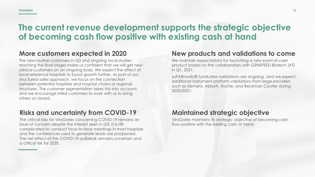## **The current revenue development supports the strategic objective of becoming cash flow positive with existing cash at hand**

### **More customers expected in 2020**

The new routine customers in Q3 and ongoing local studies reaching the final stages make us confident that we will get new clinical customers on an ongoing basis. We expect the effect of local reference hospitals to boost growth further. As part of our structured sales approach, we focus on the connection between potential hospitals and hospital chains or regional structures. The customer segmentation takes this into account, and we encourage initial customers to work with us to bring others on board.

### **Risks and uncertainty from COVID-19**

The critical risks for ViroGates concerning COVID-19 remains an issue of concern despite the interest seen in Q3. It is still complicated to conduct face-to-face meetings in most hospitals and the conferences used to generate leads are postponed. The net effect of the COVID-19 outbreak remains uncertain and a critical risk for 2020.

#### **New products and validations to come**

We maintain expectations for launching a new point-of-care product based on the collaboration with GENSPEED Biotech (AT) in Q1, 2021.

suPARnostic® TurbiLatex validations are ongoing, and we expect additional instrument platform validations from large providers such as Siemens, Abbott, Roche, and Beckman Coulter during 2020/2021.

### **Maintained strategic objective**

ViroGates maintains its strategic objective of becoming cash flow positive with the existing cash at hand.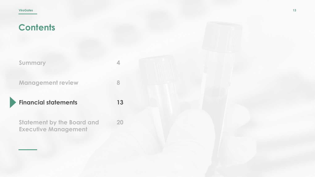| <b>Summary</b>           |  |
|--------------------------|--|
| <b>Management review</b> |  |

**Financial statements**

**13**

**20**

**Statement by the Board and Executive Management**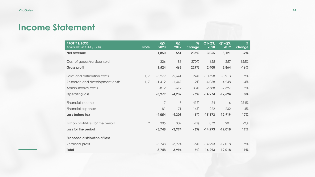## **Income Statement**

| <b>PROFIT &amp; LOSS</b><br>Amounts in DKK ('000) | <b>Note</b>    | Q3<br>2020     | Q3<br>2019 | $\%$<br>change | $Q1-Q3,$<br>2020 | $Q1-Q3,$<br>2019 | $\%$<br>change |
|---------------------------------------------------|----------------|----------------|------------|----------------|------------------|------------------|----------------|
| Net revenue                                       |                | 1,850          | 551        | 236%           | 3,055            | 3,121            | $-2%$          |
| Cost of goods/services sold                       |                | $-326$         | $-88$      | 270%           | $-655$           | $-257$           | 155%           |
| <b>Gross profit</b>                               |                | 1,524          | 463        | 229%           | 2,400            | 2,864            | $-16%$         |
| Sales and distribution costs                      | 1, 7           | $-3,279$       | $-2,641$   | 24%            | $-10,628$        | $-8,913$         | 19%            |
| Research and development costs                    | 1, 7           | $-1,412$       | $-1,447$   | $-2\%$         | $-4,058$         | $-4,248$         | $-4%$          |
| Administrative costs                              |                | $-812$         | $-612$     | 33%            | $-2,688$         | $-2,397$         | 12%            |
| <b>Operating loss</b>                             |                | $-3,979$       | $-4,237$   | $-6%$          | $-14,974$        | $-12,694$        | 18%            |
| Financial income                                  |                | $\overline{7}$ | 5          | 41%            | 24               | 6                | 264%           |
| Financial expenses                                |                | $-81$          | $-71$      | 14%            | $-222$           | $-232$           | $-4%$          |
| Loss before tax                                   |                | $-4,054$       | $-4,303$   | $-6\%$         | $-15,173$        | $-12,919$        | 17%            |
| Tax on profit/loss for the period                 | $\overline{2}$ | 305            | 309        | $-1\%$         | 879              | 901              | $-2\%$         |
| Loss for the period                               |                | $-3,748$       | $-3,994$   | $-6%$          | $-14,293$        | $-12,018$        | 19%            |
| <b>Proposed distribution of loss</b>              |                |                |            |                |                  |                  |                |
| Retained profit                                   |                | $-3,748$       | $-3,994$   | $-6\%$         | $-14,293$        | $-12,018$        | 19%            |
| Total                                             |                | $-3,748$       | $-3,994$   | $-6%$          | $-14,293$        | $-12,018$        | 19%            |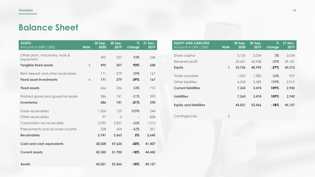## **Balance Sheet**

| <b>ASSETS</b><br>Amounts in DKK ('000)       | <b>Note</b>    | 30 Sep.<br>2020 | 30 Sep.<br>2019 | $\%$<br>change | 31 Dec.<br>2019 |  |
|----------------------------------------------|----------------|-----------------|-----------------|----------------|-----------------|--|
| Other plant, machinery, tools &<br>equipment |                | 495             | 257             | 93%            | 548             |  |
| <b>Tangible fixed assets</b>                 | 3              | 495             | 257             | 93%            | 548             |  |
| Rent deposit and other receivables           |                | 171             | 279             | $-39%$         | 167             |  |
| <b>Fixed asset investments</b>               | $\overline{4}$ | 171             | 279             | $-39%$         | 167             |  |
| <b>Fixed assets</b>                          |                | 666             | 536             | 24%            | 715             |  |
| Finished goods and goods for resale          |                | 586             | 741             | $-21%$         | 390             |  |
| <b>Inventories</b>                           |                | 586             | 741             | $-21%$         | 390             |  |
| Trade receivables                            |                | 1,324           | 129             | 929%           | 244             |  |
| Other receivables                            |                | 97              | $\circ$         |                | 838             |  |
| Corporation tax receivable                   |                | 2,092           | 2,831           | $-26%$         | 1,212           |  |
| Prepayments and accrued income               |                | 228             | 604             | $-62\%$        | 351             |  |
| <b>Receivables</b>                           |                | 3,741           | 3,563           | 5%             | 2,645           |  |
| <b>Cash and cash equivalents</b>             |                | 38,028          | 47,625          | $-20%$         | 41,407          |  |
| <b>Current assets</b>                        |                | 42,355          | 51,930          | $-18%$         | 44,442          |  |
| <b>Assets</b>                                |                | 43,021          | 52,466          | $-18%$         | 45,157          |  |

| <b>EQUITY AND LIABILITIES</b><br>Amounts in DKK ('000) | <b>Note</b> | 30 Sep.<br>2020 | 30 Sep.<br>2019 | %<br>change | 31 Dec.<br>2019 |
|--------------------------------------------------------|-------------|-----------------|-----------------|-------------|-----------------|
|                                                        |             |                 |                 |             |                 |
| Share capital                                          |             | 3,125           | 3,034           | $3\%$       | 3,034           |
| Retained profit                                        |             | 32,631          | 45,958          | $-29\%$     | 39,181          |
| Equity                                                 | 5           | 35,756          | 48,992          | $-27%$      | 42,215          |
| Trade payables                                         |             | 1.022           | 1,385           | $-26\%$     | 927             |
| Other liabilities                                      |             | 6,243           | 2.089           | 199%        | 2.015           |
| <b>Current liabilities</b>                             |             | 7.265           | 3.474           | 109%        | 2.942           |
| <b>Liabilities</b>                                     |             | 7.265           | 3.474           | 109%        | 2,942           |
| <b>Equity and liabilities</b>                          |             | 43,021          | 52,466          | -18%        | 45,157          |
|                                                        |             |                 |                 |             |                 |

Contingencies 6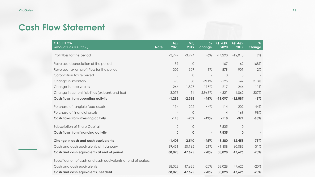## **Cash Flow Statement**

| <b>CASH FLOW</b><br>Amounts in DKK ('000)                    | <b>Note</b> | Q3<br>2020 | Q3<br>2019          | $\%$<br>change           | $Q1-Q3$<br>2020 | $Q1-Q3$<br>2019 | $\%$<br>change |
|--------------------------------------------------------------|-------------|------------|---------------------|--------------------------|-----------------|-----------------|----------------|
| Profit/loss for the period                                   |             | $-3,749$   | $-3,994$            | $-6\%$                   | $-14,293$       | $-12,018$       | 19%            |
| Reversed depreciation of the period                          |             | 59         | $\circlearrowright$ | $\overline{\phantom{a}}$ | 167             | 62              | 168%           |
| Reversed tax on profit/loss for the period                   |             | $-305$     | $-309$              | $-1\%$                   | $-879$          | $-901$          | $-2\%$         |
| Corporation tax received                                     |             | $\circ$    | $\circ$             |                          | $\circ$         | $\bigcirc$      |                |
| Change in inventory                                          |             | $-98$      | 88                  | $-211%$                  | $-196$          | $-47$           | 313%           |
| Change in receivables                                        |             | $-266$     | 1,827               | $-115%$                  | $-217$          | $-244$          | $-11%$         |
| Change in current liabilities (ex bank and tax)              |             | 3,073      | 51                  | 5,968%                   | 4,321           | 1,062           | 307%           |
| <b>Cash flows from operating activity</b>                    |             | $-1,285$   | $-2,338$            | $-45%$                   | $-11,097$       | $-12,087$       | $-8%$          |
| Purchase of tangible fixed assets                            |             | $-114$     | $-202$              | $-44%$                   | $-114$          | $-202$          | $-44%$         |
| Purchase of financial assets                                 |             | $-4$       | $\circlearrowright$ | $\overline{\phantom{a}}$ | $-4$            | $-169$          | $-98%$         |
| <b>Cash flows from investing activity</b>                    |             | $-118$     | $-202$              | $-42%$                   | $-118$          | $-371$          | $-68%$         |
| Subscription of Share Capital                                |             | $\bigcirc$ | $\bigcirc$          | $\overline{\phantom{a}}$ | 7,835           | $\bigcirc$      |                |
| <b>Cash flows from financing activity</b>                    |             | $\bf{0}$   | $\mathbf 0$         | $\overline{\phantom{a}}$ | 7,835           | $\bf{0}$        |                |
| Change in cash and cash equivalents                          |             | $-1,403$   | $-2,540$            | $-45%$                   | $-3,380$        | $-12,458$       | $-73%$         |
| Cash and cash equivalents at 1 January                       |             | 39,431     | 50,165              | $-21%$                   | 41,408          | 60,083          | $-31%$         |
| Cash and cash equivalents at end of period                   |             | 38,028     | 47,625              | $-20%$                   | 38,028          | 47,625          | $-20%$         |
| Specification of cash and cash equivalents at end of period: |             |            |                     |                          |                 |                 |                |
| Cash and cash equivalents                                    |             | 38,028     | 47,625              | $-20%$                   | 38,028          | 47,625          | $-20%$         |
| Cash and cash equivalents, net debt                          |             | 38,028     | 47,625              | $-20%$                   | 38,028          | 47,625          | $-20%$         |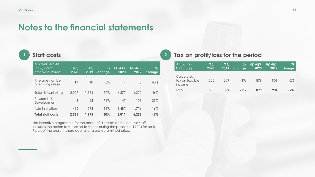## **Notes to the financial statements**

#### **<sup>1</sup> Staff costs**

| Amounts in DKK<br>$(1000)$ unless<br>otherwise stated | Q3<br>2020 | Q3<br>2019 | %<br>change | $Q1-Q3$<br>2020 | $\overline{\mathsf{Q1\text{-}Q3}}$<br>2019 | Z<br>change |
|-------------------------------------------------------|------------|------------|-------------|-----------------|--------------------------------------------|-------------|
| Average number<br>of employees (#)                    | 14         | 10         | 40%         | 14              | 10                                         | 40%         |
| Sales & Marketing                                     | 2,027      | 1,354      | 50%         | 6.377           | 4.370                                      | 46%         |
| Research &<br>Development                             | 48         | 28         | 71%         | 147             | 109                                        | 35%         |
| Administration                                        | 485        | 593        | $-18%$      | 1,487           | 1,776                                      | $-16\%$     |
| <b>Total staff costs</b>                              | 2.561      | 1,975      | 30%         | 8,011           | 6.256                                      | $-2%$       |

The incentive programme for the board of directors and executive staff includes the option to subscribe to shares during the period until 2024 for up to 9 pct. of the present share capital at a pre-determined price.

#### **<sup>2</sup> Tax on profit/loss for the period**

| Amounts in<br>DKK ('000)               | Q3<br>2020 | Q3<br>2019 | %<br>change | $\overline{Q}$ 1-Q3,<br>2020 | $Q1-Q3$<br>2019 | Z<br><u>lchange </u> |
|----------------------------------------|------------|------------|-------------|------------------------------|-----------------|----------------------|
| Calculated<br>tax on taxable<br>income | 305        | 309        | $-1\%$      | 879                          | 901             | $-2\%$               |
| Total                                  | 305        | 309        | $-1\%$      | 879                          | 901             | $-2\%$               |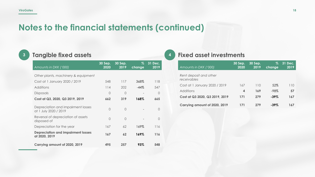## **Notes to the financial statements (continued)**

| I |
|---|
|   |
|   |

### **<sup>3</sup> Tangible fixed assets**

| Amounts in DKK ('000)                                       | 30 Sep.<br>2020 | 30 Sep.<br>2019 | %<br>change | 31 Dec.<br>2019 |
|-------------------------------------------------------------|-----------------|-----------------|-------------|-----------------|
| Other plants, machinery & equipment                         |                 |                 |             |                 |
| Cost at 1 January 2020 / 2019                               | 548             | 117             | 368%        | 118             |
| Additions                                                   | 114             | 202             | $-44%$      | 547             |
| <b>Disposals</b>                                            | 0               | $\Omega$        |             | $\Omega$        |
| Cost at Q3, 2020, Q3 2019, 2019                             | 662             | 319             | 168%        | 665             |
| Depreciation and impairment losses<br>at 1 July 2020 / 2019 | $\bigcap$       | $\bigcap$       |             | $\bigcap$       |
| Reversal of depreciation of assets<br>disposed of           | $\Omega$        | $\bigcap$       |             | $\Omega$        |
| Depreciation for the year                                   | 167             | 62              | 169%        | 116             |
| <b>Depreciation and impairment losses</b><br>at 2020, 2019  | 167             | 62              | 169%        | 116             |
| Carrying amount of 2020, 2019                               | 495             | 257             | 93%         | 548             |

#### **<sup>4</sup> Fixed asset investments**

| Amounts in DKK ('000)                 | 30 Sep.<br>2020 | 30 Sep.<br>2019 | Z<br>change | 31 Dec.<br>2019 |
|---------------------------------------|-----------------|-----------------|-------------|-----------------|
| Rent deposit and other<br>receivables |                 |                 |             |                 |
| Cost at 1 January 2020 / 2019         | 167             | 110             | 52%         | 110             |
| Additions                             | 4               | 169             | -98%        | 57              |
| Cost at Q3 2020, Q3 2019, 2019        | 171             | 279             | $-39\%$     | 167             |
| Carrying amount of 2020, 2019         | 171             | 279             | $-39\%$     | 167             |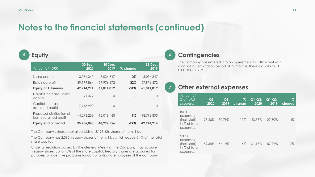## **Notes to the financial statements (continued)**

### **<sup>5</sup> Equity**

| <b>Amounts in DKK</b>                               | 30 Sep.<br>2020 | 30 Sep.<br>2019 | % change | 31 Dec.<br>2019 |
|-----------------------------------------------------|-----------------|-----------------|----------|-----------------|
| Share capital                                       | 3,034,347       | 3,034,347       | $0\%$    | 3,034,347       |
| Retained profit                                     | 39,179,864      | 57,976,672      | $-32\%$  | 57,976,672      |
| Equity at 1 January                                 | 42,214,211      | 61,011,019      | $-31%$   | 61,011,019      |
| Capital increase (share<br>capital)                 | 91.079          | 0               |          | $\bigcirc$      |
| Capital increase<br>(retained profit)               | 7,743,990       | 0               |          | $\bigcap$       |
| Proposed distribution of<br>loss to retained profit | $-14,293,238$   | $-12,018,463$   | 19%      | $-18,796,805$   |
| <b>Equity end of period</b>                         | 35,756,043      | 48,992,556      | $-27\%$  | 42.214.216      |

The Company's share capital consists of 3.125.426 shares of nom. 1 kr.

The Company has 2.585 treasury shares of nom. 1 kr. which equals 0,1% of the total share capital.

Under a resolution passed by the General Meeting, the Company may acquire treasury shares up to 10% of the share capital. Treasury shares are acquired for purposes of incentive programs for consultants and employees of the company

#### **<sup>6</sup> Contingencies**

The Company has entered into an agreement for office rent with a notice of termination period of 29 months. There is a liability of DKK ('000) 1,252.

#### **<sup>7</sup> Other external expenses**

| Amounts in<br>% of total<br>expenses                            | Q3<br>2020 | $Q3$ ,<br>2019 | Z<br>change | $Q1-Q3$<br>2020 | $Q1-Q3,$<br>2019 | %<br>change |
|-----------------------------------------------------------------|------------|----------------|-------------|-----------------|------------------|-------------|
| R&D<br>expenses<br>(incl. staff)<br>in % of total<br>expenses   | 25.66%     | 30.79%         | $-17\%$     | 23.35%          | 27.30%           | $-14%$      |
| Sales<br>expenses<br>(incl. staff)<br>in % of total<br>expenses | 59.58%     | 56.19%         | $6\%$       | 61.17%          | 57.29%           | $7\%$       |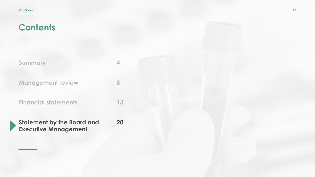| <b>Summary</b>              |  |
|-----------------------------|--|
| <b>Management review</b>    |  |
| <b>Financial statements</b> |  |

**Statement by the Board and Executive Management 20**